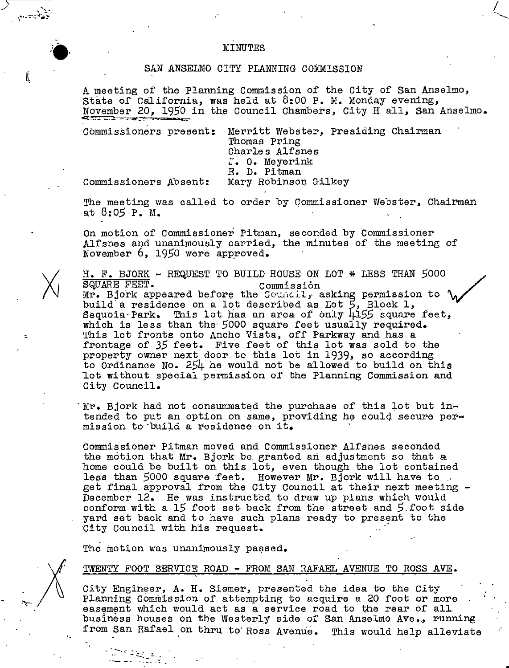## ,.--.. ,- ' MINUTES

### SAN ANSELMO CITY PLANNING COMMISSION

A meeting of the Planning Commission of the City of San Anselmo, State of California, was held at  $8:00$  P. M. Monday evening, November 20, 1950 in the Council Chambers, City H all, San Anselmo.

Commissioners present: Merritt Webster, Presiding Chairman Thomas Pring Charles Alfsnes. J. o. Meyerink E. D. Pitman Commissioners Absent: Mary Robinson Gilkey

"

L

The meeting was called to order by Commissioner Webster, Chairman at *8:05* P. M.

On motion of Commissioner Pitman, seconded by Commissioner Alfsnes and unanimously carried, the minutes of the meeting of November  $6, 1950$  were approved.

H. F. BJORK - REQUEST TO BUILD HOUSE ON LOT \* LESS THAN 5000<br>SQUARE FEET. SQUARE FEET. Commission Commission (Commission to  $\mathcal{M}$ ) build a residence on a lot described as Lot *5,* Block 1, Sequoia Park. This lot has an area of only  $4155$  square feet, which is less than the- *5000* square feet usually required. This lot fronts onto Ancho Vista, off Parkway and has a frontage of *35* feet. Five feet of this lot was sold to the property owner next door to this lot in 1939, so according to Ordinance No. 254 he would not be allowed to build on this lot without special permission of the Planning Commission and City Council.

Mr. Bjork had not consummated the purchase of this lot but intended to put an option on same, providing he could secure per-<br>mission to build a residence on it.

Commissioner Pitman moved and Commissioner Alfsnes seconded the motion that Mr. Bjork be granted an adjustment so that a home could be built on this lot, even though the lot contained less than 5000 square feet. However Mr. Bjork will have to get final approval from the City Council at their next meeting - December 12. He was instructed to draw up plans which would conform with a 15 foot set back from the street and 5.foot side yard set back and to have such plans ready to present to the City Council with his request.

The motion was unanimously passed.

#### TWENTY FOOT SERVICE ROAD - FROM SAN RAFAEL AVENUE TO ROSS AVE.

City Engineer, A. H. Siemer, presented the idea to the City Planning Commission of attempting to acquire a 20 foot or more easement which would act as a service road to the rear of all business houses on the Westerly side of San Anselmo Ave., running from San Rafael on thru to' Ross Avenue. This would help alleviate

.. \_\_ \_ •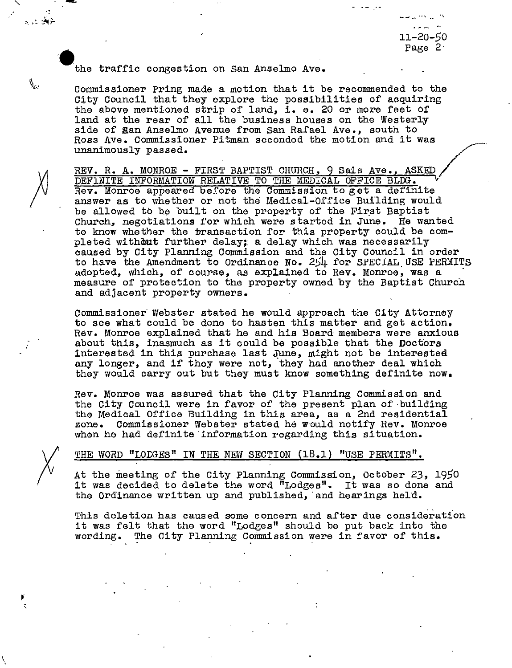--.. ··' .. ,, 11-20-50 Page 2

# the traffic congestion on San Anselmo Ave.

Commissioner Pring made a motion that it be recommended to the City Council that they explore the possibilities of acquiring the above mentioned strip of land, i. e. 20 or more feet of land at the rear of all the business houses on the Westerly side of San Anselmo Avenue from San Rafael Ave., south to side of gan Anselmo Avenue from San Rafael Ave., south to<br>Ross Ave. Commissioner Pitman seconded the motion and it was Ross Ave. Commissioner Pitman seconded the motion and it was<br>unanimously passed.

REV. R. A. MONROE - FIRST BAPTIST CHURCH, 9 Sais Ave., ASKED DEFlNITE INFORMATION RELATIVE TO THE MEDICAL OFFICE BLDG. <sup>~</sup> Rev. Monroe appeared before the Commission to get a definite answer as to whether or not the Medical-Office Building would be allowed to be built on the property of the First Baptist Church, negotiations for which were started in June. He wanted to know whether the transaction for this property could be completed without further delay; a delay which was necessarily caused by City Planning Commission and the City Council in order to have the Amendment to Ordinance No. 254 for SPECIAL.USE PERMITS adopted, which, of course, as explained to Rev. Monroe, was a<br>measure of protection to the property owned by the Baptist Church and adjacent property owners.

Commissioner· Webster stated he would approach the City Attorney to see what could be done to hasten this matter and get action. Rev. Monroe explained that he and his Board members were anxious about this, inasmuch as it could be possible that the Doctors interested in this purchase last June, might not be interested any longer, and if they were not, they had another deal which they would carry out but they must know something definite now.

Rev. Monroe was assured that the City Planning Commission and the City Council were in favor of the present plan of -building the Medical Office Building in this area, as a 2nd residential zone. Commissioner Webster stated he would notify Rev. Monroe when he had definite'information regarding this situation.

# THE WORD "LODGES" IN THE NEW SECTION (18.1) "USE PERMITS".

 $\mathbf{r}$ 

م العام العالمي.<br>مواليد

đ

At the meeting of the City Planning Commission, October 23, 1950<br>it was decided to delete the word "Lodges". It was so done and the Ordinance written up and published, and hearings held.

Thia deletion has caused some concern and after due consideration it was felt that the word "Lodges" should be put back into the wording, The City Planning Commission were in favor of this.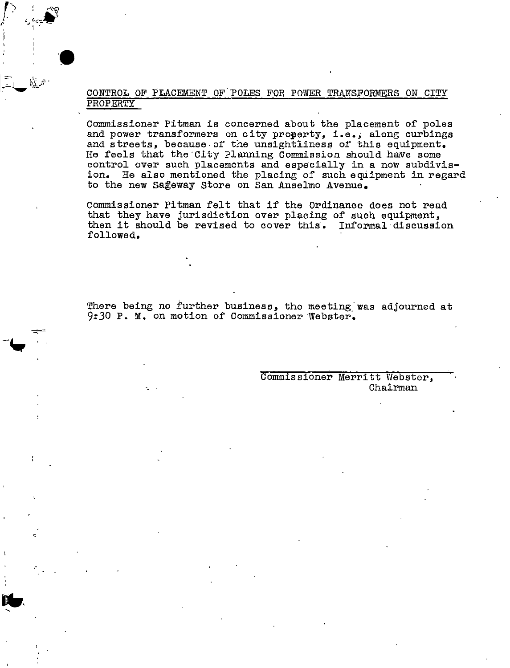# CONTROL OF PLACEMENT OF. POLES F'OR POWER TRANSFORMERS ON CITY PROPERTY

Commissioner Pitman is concerned about the placement or poles and power transformers on city property, i.e., along curbings and streets, because-or the unsightliness or this equipment. He feels that the City Planning Commission should have some control over such placements and especially in a new subdivision. He also mentioned the placing of such equipment in regard to the new sageway store on San Anselmo Avenue.

Commissioner Pitman relt that ir the Ordinance does not read that they have jurisdiction over placing of such equipment, then it should be revised to cover this. Informal discussion rollowed.

There being no further business, the meeting was adjourned at 9:30 P. M. on motion of Commissioner Webster.

--

Commissioner Merritt Webster, Chairman